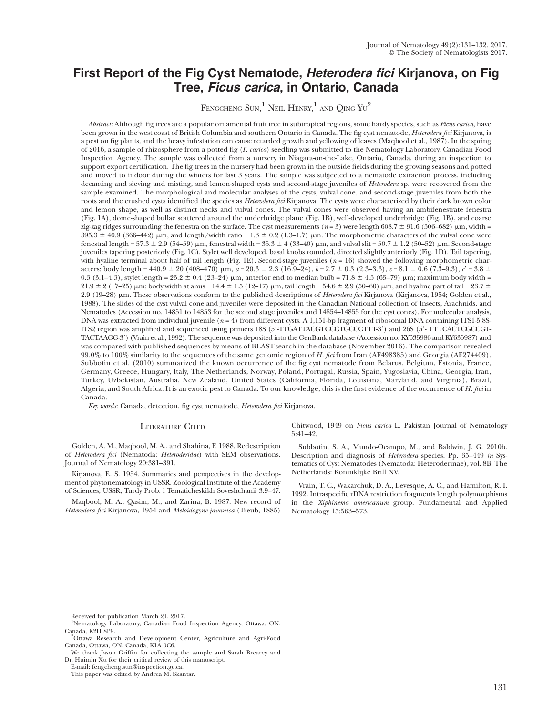## First Report of the Fig Cyst Nematode, Heterodera fici Kirjanova, on Fig Tree, Ficus carica, in Ontario, Canada

FENGCHENG  $\mathrm{SUN} , ^{1}$  Neil Henry, $^{1}$  and  $\mathrm{QING\ YU}^{2}$ 

Abstract: Although fig trees are a popular ornamental fruit tree in subtropical regions, some hardy species, such as Ficus carica, have been grown in the west coast of British Columbia and southern Ontario in Canada. The fig cyst nematode, Heterodera fici Kirjanova, is a pest on fig plants, and the heavy infestation can cause retarded growth and yellowing of leaves (Maqbool et al., 1987). In the spring of 2016, a sample of rhizosphere from a potted fig (F. carica) seedling was submitted to the Nematology Laboratory, Canadian Food Inspection Agency. The sample was collected from a nursery in Niagara-on-the-Lake, Ontario, Canada, during an inspection to support export certification. The fig trees in the nursery had been grown in the outside fields during the growing seasons and potted and moved to indoor during the winters for last 3 years. The sample was subjected to a nematode extraction process, including decanting and sieving and misting, and lemon-shaped cysts and second-stage juveniles of Heterodera sp. were recovered from the sample examined. The morphological and molecular analyses of the cysts, vulval cone, and second-stage juveniles from both the roots and the crushed cysts identified the species as *Heterodera fici* Kirjanova. The cysts were characterized by their dark brown color and lemon shape, as well as distinct necks and vulval cones. The vulval cones were observed having an ambifenestrate fenestra (Fig. 1A), dome-shaped bullae scattered around the underbridge plane (Fig. 1B), well-developed underbridge (Fig. 1B), and coarse zig-zag ridges surrounding the fenestra on the surface. The cyst measurements ( $n = 3$ ) were length 608.7  $\pm$  91.6 (506–682)  $\mu$ m, width =  $395.3 \pm 40.9$  (366–442) µm, and length/width ratio = 1.3  $\pm$  0.2 (1.3–1.7) µm. The morphometric characters of the vulval cone were fenestral length = 57.3  $\pm$  2.9 (54–59)  $\mu$ m, fenestral width = 35.3  $\pm$  4 (33–40)  $\mu$ m, and vulval slit = 50.7  $\pm$  1.2 (50–52)  $\mu$ m. Second-stage juveniles tapering posteriorly (Fig. 1C). Stylet well developed, basal knobs rounded, directed slightly anteriorly (Fig. 1D). Tail tapering, with hyaline terminal about half of tail length (Fig. 1E). Second-stage juveniles ( $n = 16$ ) showed the following morphometric characters: body length =  $440.9 \pm 20$  ( $408-470$ )  $\mu$ m,  $a = 20.3 \pm 2.3$  (16.9–24),  $b = 2.7 \pm 0.3$  (2.3–3.3),  $c = 8.1 \pm 0.6$  (7.3–9.3),  $c' = 3.8 \pm 0.6$ 0.3 (3.1–4.3), stylet length =  $23.2 \pm 0.4$  ( $23-24$ )  $\mu$ m, anterior end to median bulb =  $71.8 \pm 4.5$  ( $65-79$ )  $\mu$ m; maximum body width =  $21.9 \pm 2$  (17–25)  $\mu$ m; body width at anus = 14.4  $\pm$  1.5 (12–17)  $\mu$ m, tail length = 54.6  $\pm$  2.9 (50–60)  $\mu$ m, and hyaline part of tail = 23.7  $\pm$ 2.9 (19–28) µm. These observations conform to the published descriptions of Heterodera fici Kirjanova (Kirjanova, 1954; Golden et al., 1988). The slides of the cyst vulval cone and juveniles were deposited in the Canadian National collection of Insects, Arachnids, and Nematodes (Accession no. 14851 to 14853 for the second stage juveniles and 14854–14855 for the cyst cones). For molecular analysis, DNA was extracted from individual juvenile  $(n = 4)$  from different cysts. A 1,151-bp fragment of ribosomal DNA containing ITS1-5.8S-ITS2 region was amplified and sequenced using primers 18S (5'-TTGATTACGTCCCTGCCCTTT-3') and 26S (5'- TTTCACTCGCCGT-TACTAAGG-39) (Vrain et al., 1992). The sequence was deposited into the GenBank database (Accession no. KY635986 and KY635987) and was compared with published sequences by means of BLAST search in the database (November 2016). The comparison revealed  $99.0\%$  to  $100\%$  similarity to the sequences of the same genomic region of H. fici from Iran (AF498385) and Georgia (AF274409). Subbotin et al. (2010) summarized the known occurrence of the fig cyst nematode from Belarus, Belgium, Estonia, France, Germany, Greece, Hungary, Italy, The Netherlands, Norway, Poland, Portugal, Russia, Spain, Yugoslavia, China, Georgia, Iran, Turkey, Uzbekistan, Australia, New Zealand, United States (California, Florida, Louisiana, Maryland, and Virginia), Brazil, Algeria, and South Africa. It is an exotic pest to Canada. To our knowledge, this is the first evidence of the occurrence of H. fici in Canada.

Key words: Canada, detection, fig cyst nematode, Heterodera fici Kirjanova.

## LITERATURE CITED

Chitwood, 1949 on Ficus carica L. Pakistan Journal of Nematology 5:41–42.

Golden, A. M., Maqbool, M. A., and Shahina, F. 1988. Redescription of Heterodera fici (Nematoda: Heteroderidae) with SEM observations. Journal of Nematology 20:381–391.

Kirjanova, E. S. 1954. Summaries and perspectives in the development of phytonematology in USSR. Zoological Institute of the Academy of Sciences, USSR, Turdy Prob. i Tematicheskikh Soveshchanii 3:9–47.

Maqbool, M. A., Qasim, M., and Zarina, B. 1987. New record of Heterodera fici Kirjanova, 1954 and Meloidogyne javanica (Treub, 1885)

Subbotin, S. A., Mundo-Ocampo, M., and Baldwin, J. G. 2010b. Description and diagnosis of Heterodera species. Pp. 35–449 in Systematics of Cyst Nematodes (Nematoda: Heteroderinae), vol. 8B. The Netherlands: Koninklijke Brill NV.

Vrain, T. C., Wakarchuk, D. A., Levesque, A. C., and Hamilton, R. I. 1992. Intraspecific rDNA restriction fragments length polymorphisms in the Xiphinema americanum group. Fundamental and Applied Nematology 15:563–573.

Received for publication March 21, 2017.

<sup>&</sup>lt;sup>1</sup>Nematology Laboratory, Canadian Food Inspection Agency, Ottawa, ON, Canada, K2H 8P9.

<sup>&</sup>lt;sup>2</sup>Ottawa Research and Development Center, Agriculture and Agri-Food Canada, Ottawa, ON, Canada, K1A 0C6.

We thank Jason Griffin for collecting the sample and Sarah Brearey and Dr. Huimin Xu for their critical review of this manuscript.

E-mail: fengcheng.sun@inspection.gc.ca.

This paper was edited by Andrea M. Skantar.